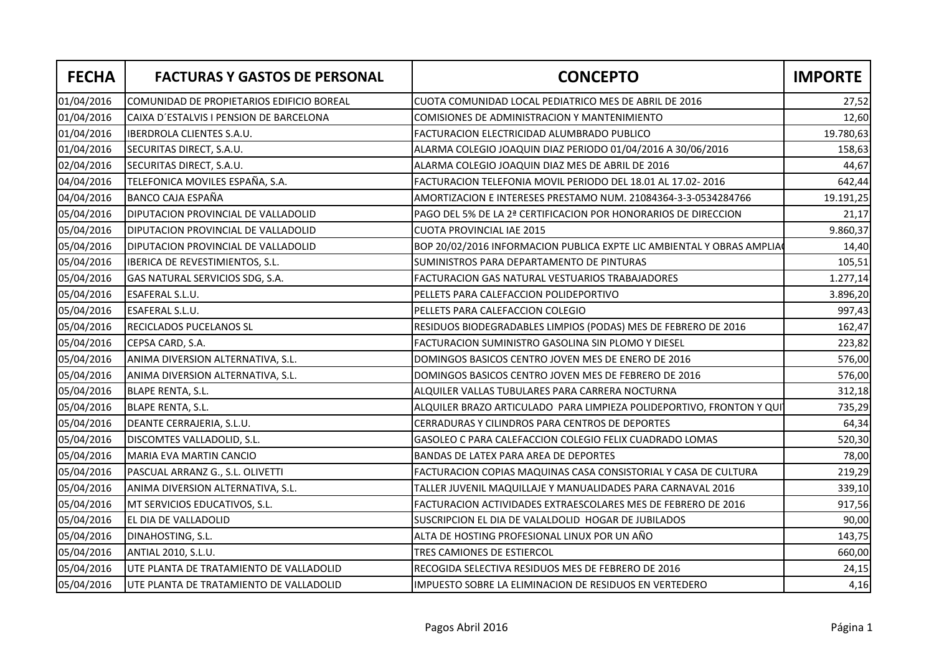| <b>FECHA</b> | <b>FACTURAS Y GASTOS DE PERSONAL</b>       | <b>CONCEPTO</b>                                                       | <b>IMPORTE</b> |
|--------------|--------------------------------------------|-----------------------------------------------------------------------|----------------|
| 01/04/2016   | COMUNIDAD DE PROPIETARIOS EDIFICIO BOREAL  | CUOTA COMUNIDAD LOCAL PEDIATRICO MES DE ABRIL DE 2016                 | 27,52          |
| 01/04/2016   | lCAIXA D´ESTALVIS I PENSION DE BARCELONA   | COMISIONES DE ADMINISTRACION Y MANTENIMIENTO                          | 12,60          |
| 01/04/2016   | <b>IBERDROLA CLIENTES S.A.U.</b>           | FACTURACION ELECTRICIDAD ALUMBRADO PUBLICO                            | 19.780,63      |
| 01/04/2016   | SECURITAS DIRECT, S.A.U.                   | ALARMA COLEGIO JOAQUIN DIAZ PERIODO 01/04/2016 A 30/06/2016           | 158,63         |
| 02/04/2016   | SECURITAS DIRECT, S.A.U.                   | ALARMA COLEGIO JOAQUIN DIAZ MES DE ABRIL DE 2016                      | 44,67          |
| 04/04/2016   | TELEFONICA MOVILES ESPAÑA, S.A.            | FACTURACION TELEFONIA MOVIL PERIODO DEL 18.01 AL 17.02- 2016          | 642,44         |
| 04/04/2016   | <b>BANCO CAJA ESPAÑA</b>                   | AMORTIZACION E INTERESES PRESTAMO NUM. 21084364-3-3-0534284766        | 19.191,25      |
| 05/04/2016   | <b>DIPUTACION PROVINCIAL DE VALLADOLID</b> | PAGO DEL 5% DE LA 2ª CERTIFICACION POR HONORARIOS DE DIRECCION        | 21,17          |
| 05/04/2016   | DIPUTACION PROVINCIAL DE VALLADOLID        | <b>CUOTA PROVINCIAL IAE 2015</b>                                      | 9.860,37       |
| 05/04/2016   | DIPUTACION PROVINCIAL DE VALLADOLID        | BOP 20/02/2016 INFORMACION PUBLICA EXPTE LIC AMBIENTAL Y OBRAS AMPLIA | 14,40          |
| 05/04/2016   | IBERICA DE REVESTIMIENTOS, S.L.            | SUMINISTROS PARA DEPARTAMENTO DE PINTURAS                             | 105,51         |
| 05/04/2016   | GAS NATURAL SERVICIOS SDG, S.A.            | <b>FACTURACION GAS NATURAL VESTUARIOS TRABAJADORES</b>                | 1.277,14       |
| 05/04/2016   | <b>ESAFERAL S.L.U.</b>                     | PELLETS PARA CALEFACCION POLIDEPORTIVO                                | 3.896,20       |
| 05/04/2016   | ESAFERAL S.L.U.                            | PELLETS PARA CALEFACCION COLEGIO                                      | 997,43         |
| 05/04/2016   | <b>RECICLADOS PUCELANOS SL</b>             | RESIDUOS BIODEGRADABLES LIMPIOS (PODAS) MES DE FEBRERO DE 2016        | 162,47         |
| 05/04/2016   | CEPSA CARD, S.A.                           | FACTURACION SUMINISTRO GASOLINA SIN PLOMO Y DIESEL                    | 223,82         |
| 05/04/2016   | ANIMA DIVERSION ALTERNATIVA, S.L.          | DOMINGOS BASICOS CENTRO JOVEN MES DE ENERO DE 2016                    | 576,00         |
| 05/04/2016   | ANIMA DIVERSION ALTERNATIVA, S.L.          | DOMINGOS BASICOS CENTRO JOVEN MES DE FEBRERO DE 2016                  | 576,00         |
| 05/04/2016   | <b>BLAPE RENTA, S.L.</b>                   | ALQUILER VALLAS TUBULARES PARA CARRERA NOCTURNA                       | 312,18         |
| 05/04/2016   | <b>BLAPE RENTA, S.L.</b>                   | ALQUILER BRAZO ARTICULADO PARA LIMPIEZA POLIDEPORTIVO, FRONTON Y QUI  | 735,29         |
| 05/04/2016   | DEANTE CERRAJERIA, S.L.U.                  | CERRADURAS Y CILINDROS PARA CENTROS DE DEPORTES                       | 64,34          |
| 05/04/2016   | DISCOMTES VALLADOLID, S.L.                 | GASOLEO C PARA CALEFACCION COLEGIO FELIX CUADRADO LOMAS               | 520,30         |
| 05/04/2016   | MARIA EVA MARTIN CANCIO                    | <b>BANDAS DE LATEX PARA AREA DE DEPORTES</b>                          | 78,00          |
| 05/04/2016   | PASCUAL ARRANZ G., S.L. OLIVETTI           | FACTURACION COPIAS MAQUINAS CASA CONSISTORIAL Y CASA DE CULTURA       | 219,29         |
| 05/04/2016   | ANIMA DIVERSION ALTERNATIVA, S.L.          | TALLER JUVENIL MAQUILLAJE Y MANUALIDADES PARA CARNAVAL 2016           | 339,10         |
| 05/04/2016   | MT SERVICIOS EDUCATIVOS, S.L.              | FACTURACION ACTIVIDADES EXTRAESCOLARES MES DE FEBRERO DE 2016         | 917,56         |
| 05/04/2016   | EL DIA DE VALLADOLID                       | SUSCRIPCION EL DIA DE VALALDOLID HOGAR DE JUBILADOS                   | 90,00          |
| 05/04/2016   | DINAHOSTING, S.L.                          | ALTA DE HOSTING PROFESIONAL LINUX POR UN AÑO                          | 143,75         |
| 05/04/2016   | <b>ANTIAL 2010, S.L.U.</b>                 | TRES CAMIONES DE ESTIERCOL                                            | 660,00         |
| 05/04/2016   | UTE PLANTA DE TRATAMIENTO DE VALLADOLID    | RECOGIDA SELECTIVA RESIDUOS MES DE FEBRERO DE 2016                    | 24,15          |
| 05/04/2016   | UTE PLANTA DE TRATAMIENTO DE VALLADOLID    | IMPUESTO SOBRE LA ELIMINACION DE RESIDUOS EN VERTEDERO                | 4,16           |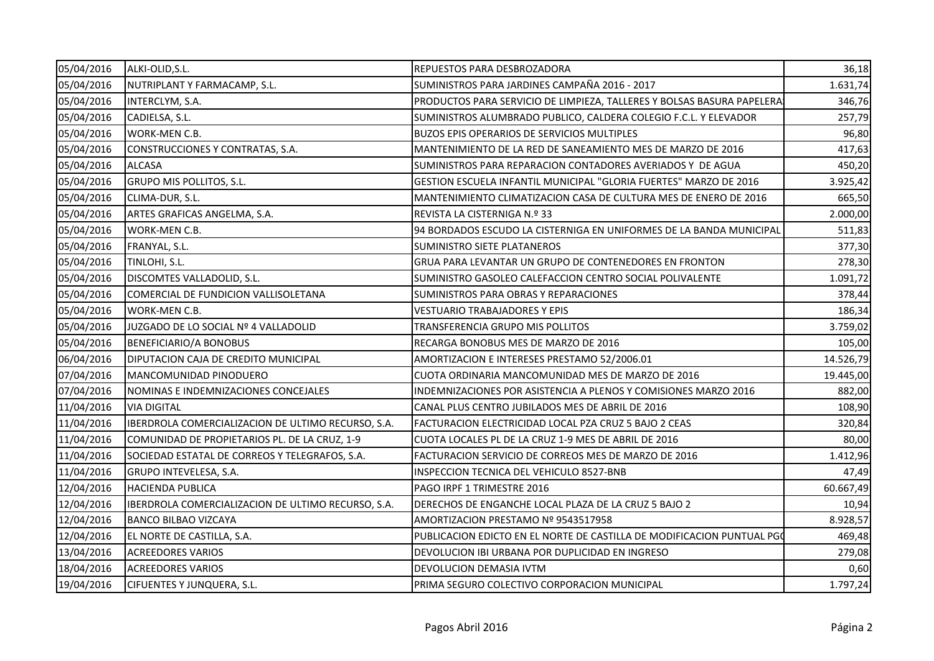| 05/04/2016 | ALKI-OLID, S.L.                                    | REPUESTOS PARA DESBROZADORA                                             | 36,18     |
|------------|----------------------------------------------------|-------------------------------------------------------------------------|-----------|
| 05/04/2016 | NUTRIPLANT Y FARMACAMP, S.L.                       | SUMINISTROS PARA JARDINES CAMPAÑA 2016 - 2017                           | 1.631,74  |
| 05/04/2016 | INTERCLYM, S.A.                                    | PRODUCTOS PARA SERVICIO DE LIMPIEZA, TALLERES Y BOLSAS BASURA PAPELERA! | 346,76    |
| 05/04/2016 | CADIELSA, S.L.                                     | SUMINISTROS ALUMBRADO PUBLICO, CALDERA COLEGIO F.C.L. Y ELEVADOR        | 257,79    |
| 05/04/2016 | WORK-MEN C.B.                                      | BUZOS EPIS OPERARIOS DE SERVICIOS MULTIPLES                             | 96,80     |
| 05/04/2016 | CONSTRUCCIONES Y CONTRATAS, S.A.                   | MANTENIMIENTO DE LA RED DE SANEAMIENTO MES DE MARZO DE 2016             | 417,63    |
| 05/04/2016 | <b>ALCASA</b>                                      | SUMINISTROS PARA REPARACION CONTADORES AVERIADOS Y DE AGUA              | 450,20    |
| 05/04/2016 | GRUPO MIS POLLITOS, S.L.                           | GESTION ESCUELA INFANTIL MUNICIPAL "GLORIA FUERTES" MARZO DE 2016       | 3.925,42  |
| 05/04/2016 | CLIMA-DUR, S.L.                                    | MANTENIMIENTO CLIMATIZACION CASA DE CULTURA MES DE ENERO DE 2016        | 665,50    |
| 05/04/2016 | ARTES GRAFICAS ANGELMA, S.A.                       | REVISTA LA CISTERNIGA N.º 33                                            | 2.000,00  |
| 05/04/2016 | WORK-MEN C.B.                                      | 94 BORDADOS ESCUDO LA CISTERNIGA EN UNIFORMES DE LA BANDA MUNICIPAL     | 511,83    |
| 05/04/2016 | FRANYAL, S.L.                                      | <b>SUMINISTRO SIETE PLATANEROS</b>                                      | 377,30    |
| 05/04/2016 | TINLOHI, S.L.                                      | GRUA PARA LEVANTAR UN GRUPO DE CONTENEDORES EN FRONTON                  | 278,30    |
| 05/04/2016 | DISCOMTES VALLADOLID, S.L.                         | SUMINISTRO GASOLEO CALEFACCION CENTRO SOCIAL POLIVALENTE                | 1.091,72  |
| 05/04/2016 | COMERCIAL DE FUNDICION VALLISOLETANA               | SUMINISTROS PARA OBRAS Y REPARACIONES                                   | 378,44    |
| 05/04/2016 | WORK-MEN C.B.                                      | <b>VESTUARIO TRABAJADORES Y EPIS</b>                                    | 186,34    |
| 05/04/2016 | JUZGADO DE LO SOCIAL Nº 4 VALLADOLID               | TRANSFERENCIA GRUPO MIS POLLITOS                                        | 3.759,02  |
| 05/04/2016 | <b>BENEFICIARIO/A BONOBUS</b>                      | RECARGA BONOBUS MES DE MARZO DE 2016                                    | 105,00    |
| 06/04/2016 | DIPUTACION CAJA DE CREDITO MUNICIPAL               | AMORTIZACION E INTERESES PRESTAMO 52/2006.01                            | 14.526,79 |
| 07/04/2016 | <b>MANCOMUNIDAD PINODUERO</b>                      | CUOTA ORDINARIA MANCOMUNIDAD MES DE MARZO DE 2016                       | 19.445,00 |
| 07/04/2016 | NOMINAS E INDEMNIZACIONES CONCEJALES               | INDEMNIZACIONES POR ASISTENCIA A PLENOS Y COMISIONES MARZO 2016         | 882,00    |
| 11/04/2016 | <b>VIA DIGITAL</b>                                 | CANAL PLUS CENTRO JUBILADOS MES DE ABRIL DE 2016                        | 108,90    |
| 11/04/2016 | IBERDROLA COMERCIALIZACION DE ULTIMO RECURSO, S.A. | FACTURACION ELECTRICIDAD LOCAL PZA CRUZ 5 BAJO 2 CEAS                   | 320,84    |
| 11/04/2016 | COMUNIDAD DE PROPIETARIOS PL. DE LA CRUZ, 1-9      | CUOTA LOCALES PL DE LA CRUZ 1-9 MES DE ABRIL DE 2016                    | 80,00     |
| 11/04/2016 | SOCIEDAD ESTATAL DE CORREOS Y TELEGRAFOS, S.A.     | FACTURACION SERVICIO DE CORREOS MES DE MARZO DE 2016                    | 1.412,96  |
| 11/04/2016 | GRUPO INTEVELESA, S.A.                             | INSPECCION TECNICA DEL VEHICULO 8527-BNB                                | 47,49     |
| 12/04/2016 | <b>HACIENDA PUBLICA</b>                            | PAGO IRPF 1 TRIMESTRE 2016                                              | 60.667,49 |
| 12/04/2016 | IBERDROLA COMERCIALIZACION DE ULTIMO RECURSO, S.A. | DERECHOS DE ENGANCHE LOCAL PLAZA DE LA CRUZ 5 BAJO 2                    | 10,94     |
| 12/04/2016 | <b>BANCO BILBAO VIZCAYA</b>                        | AMORTIZACION PRESTAMO Nº 9543517958                                     | 8.928,57  |
| 12/04/2016 | EL NORTE DE CASTILLA, S.A.                         | PUBLICACION EDICTO EN EL NORTE DE CASTILLA DE MODIFICACION PUNTUAL PGO  | 469,48    |
| 13/04/2016 | <b>ACREEDORES VARIOS</b>                           | DEVOLUCION IBI URBANA POR DUPLICIDAD EN INGRESO                         | 279,08    |
| 18/04/2016 | <b>ACREEDORES VARIOS</b>                           | <b>DEVOLUCION DEMASIA IVTM</b>                                          | 0,60      |
| 19/04/2016 | CIFUENTES Y JUNQUERA, S.L.                         | PRIMA SEGURO COLECTIVO CORPORACION MUNICIPAL                            | 1.797,24  |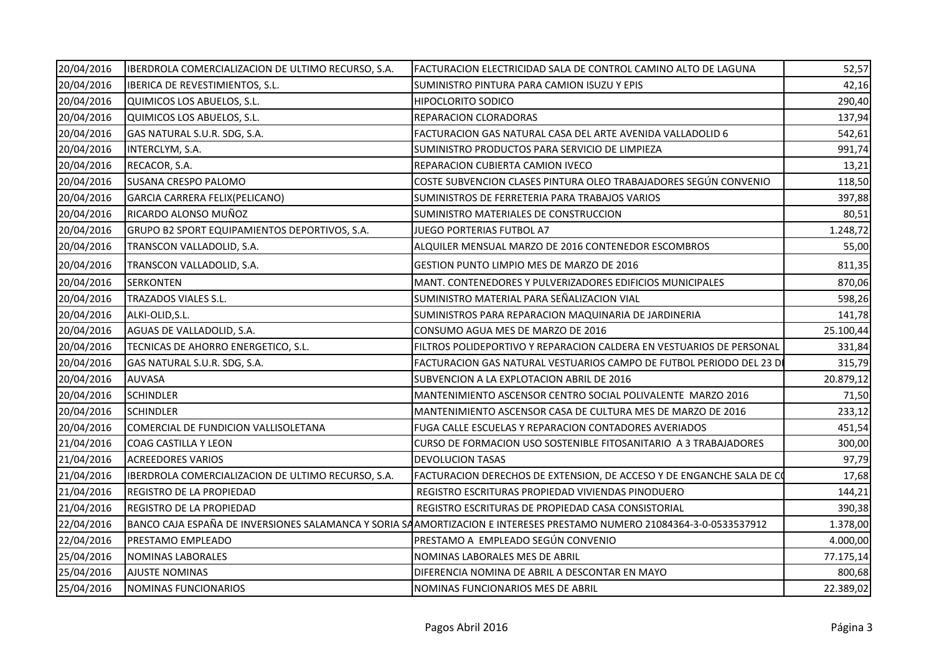| 20/04/2016 | IBERDROLA COMERCIALIZACION DE ULTIMO RECURSO, S.A. | FACTURACION ELECTRICIDAD SALA DE CONTROL CAMINO ALTO DE LAGUNA                                                        | 52,57     |
|------------|----------------------------------------------------|-----------------------------------------------------------------------------------------------------------------------|-----------|
| 20/04/2016 | IBERICA DE REVESTIMIENTOS, S.L.                    | SUMINISTRO PINTURA PARA CAMION ISUZU Y EPIS                                                                           | 42,16     |
| 20/04/2016 | QUIMICOS LOS ABUELOS, S.L.                         | <b>HIPOCLORITO SODICO</b>                                                                                             | 290,40    |
| 20/04/2016 | QUIMICOS LOS ABUELOS, S.L.                         | REPARACION CLORADORAS                                                                                                 | 137,94    |
| 20/04/2016 | GAS NATURAL S.U.R. SDG, S.A.                       | FACTURACION GAS NATURAL CASA DEL ARTE AVENIDA VALLADOLID 6                                                            | 542,61    |
| 20/04/2016 | INTERCLYM, S.A.                                    | SUMINISTRO PRODUCTOS PARA SERVICIO DE LIMPIEZA                                                                        | 991,74    |
| 20/04/2016 | RECACOR, S.A.                                      | REPARACION CUBIERTA CAMION IVECO                                                                                      | 13,21     |
| 20/04/2016 | <b>SUSANA CRESPO PALOMO</b>                        | COSTE SUBVENCION CLASES PINTURA OLEO TRABAJADORES SEGÚN CONVENIO                                                      | 118,50    |
| 20/04/2016 | GARCIA CARRERA FELIX(PELICANO)                     | SUMINISTROS DE FERRETERIA PARA TRABAJOS VARIOS                                                                        | 397,88    |
| 20/04/2016 | RICARDO ALONSO MUÑOZ                               | SUMINISTRO MATERIALES DE CONSTRUCCION                                                                                 | 80,51     |
| 20/04/2016 | GRUPO B2 SPORT EQUIPAMIENTOS DEPORTIVOS, S.A.      | JUEGO PORTERIAS FUTBOL A7                                                                                             | 1.248,72  |
| 20/04/2016 | TRANSCON VALLADOLID, S.A.                          | ALQUILER MENSUAL MARZO DE 2016 CONTENEDOR ESCOMBROS                                                                   | 55,00     |
| 20/04/2016 | TRANSCON VALLADOLID, S.A.                          | <b>GESTION PUNTO LIMPIO MES DE MARZO DE 2016</b>                                                                      | 811,35    |
| 20/04/2016 | <b>ISERKONTEN</b>                                  | MANT. CONTENEDORES Y PULVERIZADORES EDIFICIOS MUNICIPALES                                                             | 870,06    |
| 20/04/2016 | <b>TRAZADOS VIALES S.L.</b>                        | SUMINISTRO MATERIAL PARA SEÑALIZACION VIAL                                                                            | 598,26    |
| 20/04/2016 | ALKI-OLID, S.L.                                    | SUMINISTROS PARA REPARACION MAQUINARIA DE JARDINERIA                                                                  | 141,78    |
| 20/04/2016 | AGUAS DE VALLADOLID, S.A.                          | CONSUMO AGUA MES DE MARZO DE 2016                                                                                     | 25.100,44 |
| 20/04/2016 | TECNICAS DE AHORRO ENERGETICO, S.L.                | FILTROS POLIDEPORTIVO Y REPARACION CALDERA EN VESTUARIOS DE PERSONAL                                                  | 331,84    |
| 20/04/2016 | GAS NATURAL S.U.R. SDG, S.A.                       | FACTURACION GAS NATURAL VESTUARIOS CAMPO DE FUTBOL PERIODO DEL 23 DI                                                  | 315,79    |
| 20/04/2016 | <b>AUVASA</b>                                      | SUBVENCION A LA EXPLOTACION ABRIL DE 2016                                                                             | 20.879,12 |
| 20/04/2016 | <b>SCHINDLER</b>                                   | MANTENIMIENTO ASCENSOR CENTRO SOCIAL POLIVALENTE MARZO 2016                                                           | 71,50     |
| 20/04/2016 | <b>SCHINDLER</b>                                   | MANTENIMIENTO ASCENSOR CASA DE CULTURA MES DE MARZO DE 2016                                                           | 233,12    |
| 20/04/2016 | COMERCIAL DE FUNDICION VALLISOLETANA               | FUGA CALLE ESCUELAS Y REPARACION CONTADORES AVERIADOS                                                                 | 451,54    |
| 21/04/2016 | <b>COAG CASTILLA Y LEON</b>                        | CURSO DE FORMACION USO SOSTENIBLE FITOSANITARIO A 3 TRABAJADORES                                                      | 300,00    |
| 21/04/2016 | <b>ACREEDORES VARIOS</b>                           | <b>DEVOLUCION TASAS</b>                                                                                               | 97,79     |
| 21/04/2016 | IBERDROLA COMERCIALIZACION DE ULTIMO RECURSO, S.A. | FACTURACION DERECHOS DE EXTENSION, DE ACCESO Y DE ENGANCHE SALA DE CO                                                 | 17,68     |
| 21/04/2016 | <b>IREGISTRO DE LA PROPIEDAD</b>                   | REGISTRO ESCRITURAS PROPIEDAD VIVIENDAS PINODUERO                                                                     | 144,21    |
| 21/04/2016 | <b>REGISTRO DE LA PROPIEDAD</b>                    | REGISTRO ESCRITURAS DE PROPIEDAD CASA CONSISTORIAL                                                                    | 390,38    |
| 22/04/2016 |                                                    | BANCO CAJA ESPAÑA DE INVERSIONES SALAMANCA Y SORIA SAAMORTIZACION E INTERESES PRESTAMO NUMERO 21084364-3-0-0533537912 | 1.378,00  |
| 22/04/2016 | <b>PRESTAMO EMPLEADO</b>                           | PRESTAMO A EMPLEADO SEGÚN CONVENIO                                                                                    | 4.000,00  |
| 25/04/2016 | NOMINAS LABORALES                                  | NOMINAS LABORALES MES DE ABRIL                                                                                        | 77.175,14 |
| 25/04/2016 | <b>AJUSTE NOMINAS</b>                              | DIFERENCIA NOMINA DE ABRIL A DESCONTAR EN MAYO                                                                        | 800,68    |
| 25/04/2016 | NOMINAS FUNCIONARIOS                               | NOMINAS FUNCIONARIOS MES DE ABRIL                                                                                     | 22.389,02 |